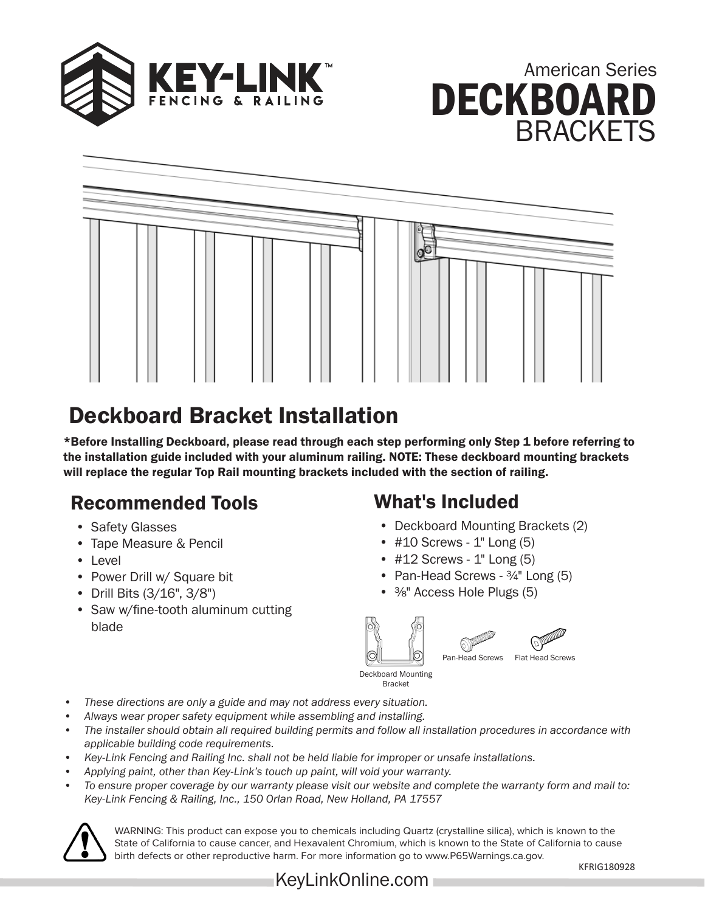





## Deckboard Bracket Installation

\*Before Installing Deckboard, please read through each step performing only Step 1 before referring to the installation guide included with your aluminum railing. NOTE: These deckboard mounting brackets will replace the regular Top Rail mounting brackets included with the section of railing.

### Recommended Tools

- Safety Glasses
- Tape Measure & Pencil
- Level
- Power Drill w/ Square bit
- Drill Bits (3/16", 3/8")
- Saw w/fine-tooth aluminum cutting blade

### What's Included

- Deckboard Mounting Brackets (2)
- #10 Screws 1" Long (5)
- #12 Screws 1" Long (5)
- Pan-Head Screws 3/4" Long (5)
- ⅜" Access Hole Plugs (5)





Pan-Head Screws Flat Head Screws

Deckboard Mounting Bracket

- *• These directions are only a guide and may not address every situation.*
- *• Always wear proper safety equipment while assembling and installing.*
- *• The installer should obtain all required building permits and follow all installation procedures in accordance with applicable building code requirements.*
- *• Key-Link Fencing and Railing Inc. shall not be held liable for improper or unsafe installations.*
- *• Applying paint, other than Key-Link's touch up paint, will void your warranty.*
- *• To ensure proper coverage by our warranty please visit our website and complete the warranty form and mail to: Key-Link Fencing & Railing, Inc., 150 Orlan Road, New Holland, PA 17557*



WARNING: This product can expose you to chemicals including Quartz (crystalline silica), which is known to the State of California to cause cancer, and Hexavalent Chromium, which is known to the State of California to cause birth defects or other reproductive harm. For more information go to www.P65Warnings.ca.gov.